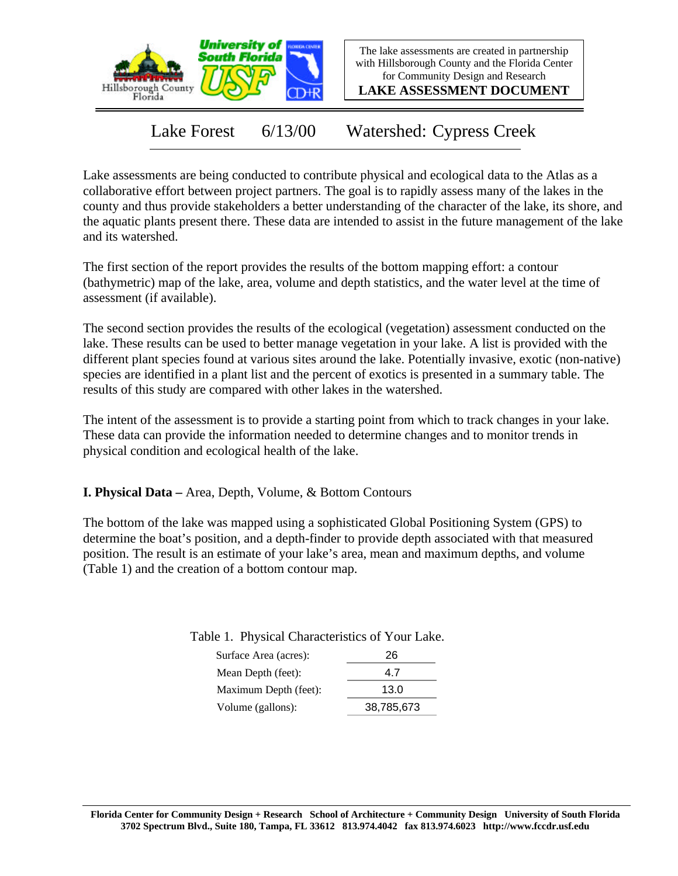

The lake assessments are created in partnership with Hillsborough County and the Florida Center for Community Design and Research

**LAKE ASSESSMENT DOCUMENT**

Lake Forest 6/13/00 Watershed: Cypress Creek

Lake assessments are being conducted to contribute physical and ecological data to the Atlas as a collaborative effort between project partners. The goal is to rapidly assess many of the lakes in the county and thus provide stakeholders a better understanding of the character of the lake, its shore, and the aquatic plants present there. These data are intended to assist in the future management of the lake and its watershed.

The first section of the report provides the results of the bottom mapping effort: a contour (bathymetric) map of the lake, area, volume and depth statistics, and the water level at the time of assessment (if available).

The second section provides the results of the ecological (vegetation) assessment conducted on the lake. These results can be used to better manage vegetation in your lake. A list is provided with the different plant species found at various sites around the lake. Potentially invasive, exotic (non-native) species are identified in a plant list and the percent of exotics is presented in a summary table. The results of this study are compared with other lakes in the watershed.

The intent of the assessment is to provide a starting point from which to track changes in your lake. These data can provide the information needed to determine changes and to monitor trends in physical condition and ecological health of the lake.

**I. Physical Data –** Area, Depth, Volume, & Bottom Contours

The bottom of the lake was mapped using a sophisticated Global Positioning System (GPS) to determine the boat's position, and a depth-finder to provide depth associated with that measured position. The result is an estimate of your lake's area, mean and maximum depths, and volume (Table 1) and the creation of a bottom contour map.

Table 1. Physical Characteristics of Your Lake.

| 26         |
|------------|
| 47         |
| 13.0       |
| 38,785,673 |
|            |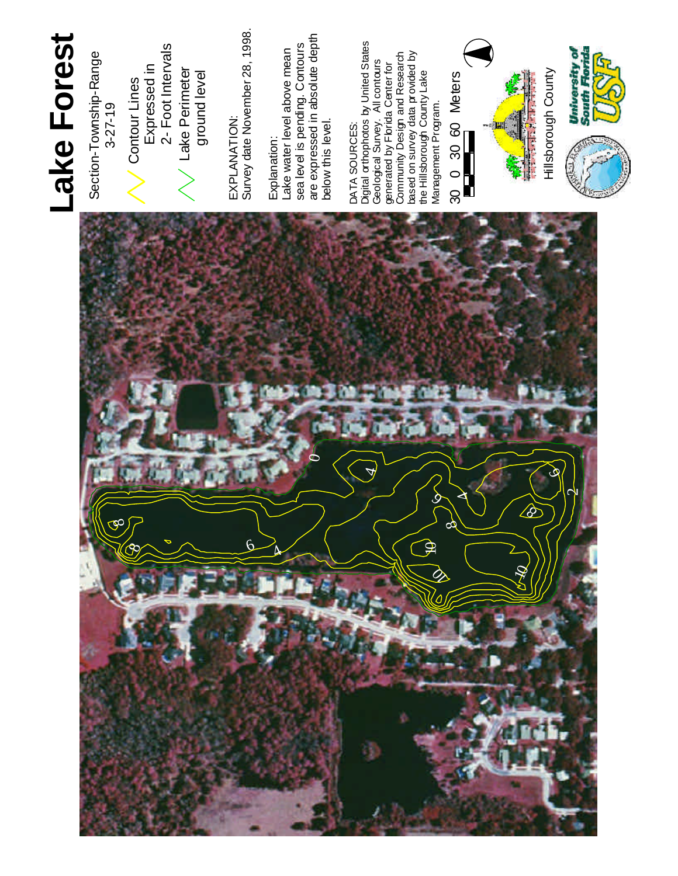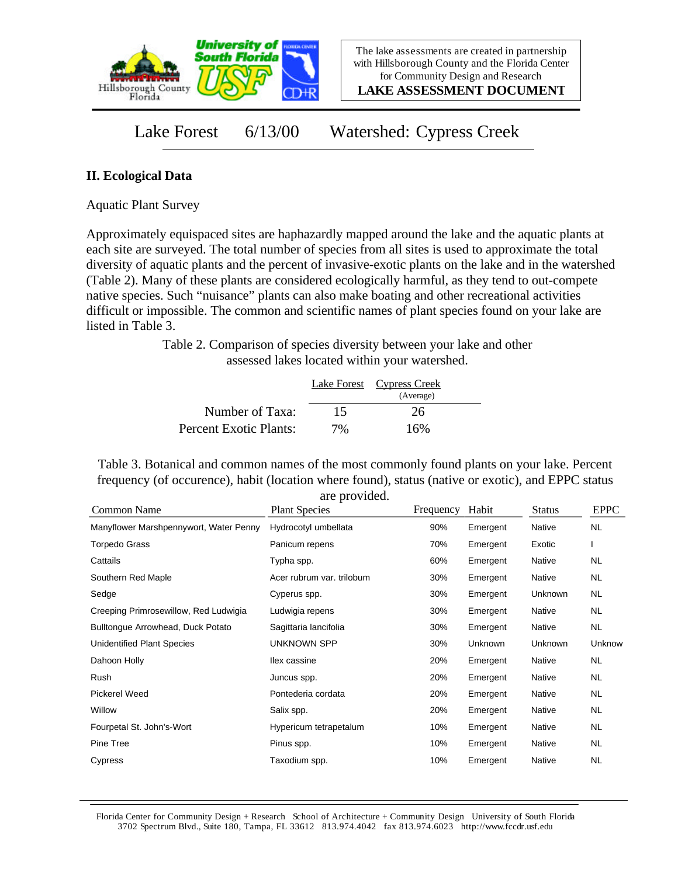

**LAKE ASSESSMENT DOCUMENT**

## Lake Forest 6/13/00 Watershed: Cypress Creek

## **II. Ecological Data**

Aquatic Plant Survey

Approximately equispaced sites are haphazardly mapped around the lake and the aquatic plants at each site are surveyed. The total number of species from all sites is used to approximate the total diversity of aquatic plants and the percent of invasive-exotic plants on the lake and in the watershed (Table 2). Many of these plants are considered ecologically harmful, as they tend to out-compete native species. Such "nuisance" plants can also make boating and other recreational activities difficult or impossible. The common and scientific names of plant species found on your lake are listed in Table 3.

> Table 2. Comparison of species diversity between your lake and other assessed lakes located within your watershed.

|                        |    | Lake Forest Cypress Creek |  |
|------------------------|----|---------------------------|--|
|                        |    | (Average)                 |  |
| Number of Taxa:        | 15 | 26                        |  |
| Percent Exotic Plants: | 7% | 16%                       |  |

Table 3. Botanical and common names of the most commonly found plants on your lake. Percent frequency (of occurence), habit (location where found), status (native or exotic), and EPPC status are provided.

| Common Name                            | <b>Plant Species</b>      | Frequency | Habit    | <b>Status</b> | <b>EPPC</b> |
|----------------------------------------|---------------------------|-----------|----------|---------------|-------------|
| Manyflower Marshpennywort, Water Penny | Hydrocotyl umbellata      | 90%       | Emergent | Native        | <b>NL</b>   |
| Torpedo Grass                          | Panicum repens            | 70%       | Emergent | Exotic        |             |
| Cattails                               | Typha spp.                | 60%       | Emergent | Native        | <b>NL</b>   |
| Southern Red Maple                     | Acer rubrum var. trilobum | 30%       | Emergent | Native        | <b>NL</b>   |
| Sedge                                  | Cyperus spp.              | 30%       | Emergent | Unknown       | <b>NL</b>   |
| Creeping Primrosewillow, Red Ludwigia  | Ludwigia repens           | 30%       | Emergent | Native        | <b>NL</b>   |
| Bulltongue Arrowhead, Duck Potato      | Sagittaria lancifolia     | 30%       | Emergent | Native        | <b>NL</b>   |
| <b>Unidentified Plant Species</b>      | UNKNOWN SPP               | 30%       | Unknown  | Unknown       | Unknow      |
| Dahoon Holly                           | llex cassine              | 20%       | Emergent | Native        | <b>NL</b>   |
| Rush                                   | Juncus spp.               | 20%       | Emergent | Native        | <b>NL</b>   |
| Pickerel Weed                          | Pontederia cordata        | 20%       | Emergent | Native        | <b>NL</b>   |
| Willow                                 | Salix spp.                | 20%       | Emergent | Native        | <b>NL</b>   |
| Fourpetal St. John's-Wort              | Hypericum tetrapetalum    | 10%       | Emergent | Native        | <b>NL</b>   |
| Pine Tree                              | Pinus spp.                | 10%       | Emergent | Native        | <b>NL</b>   |
| Cypress                                | Taxodium spp.             | 10%       | Emergent | Native        | <b>NL</b>   |

Florida Center for Community Design + Research School of Architecture + Community Design University of South Florida 3702 Spectrum Blvd., Suite 180, Tampa, FL 33612 813.974.4042 fax 813.974.6023 http://www.fccdr.usf.edu